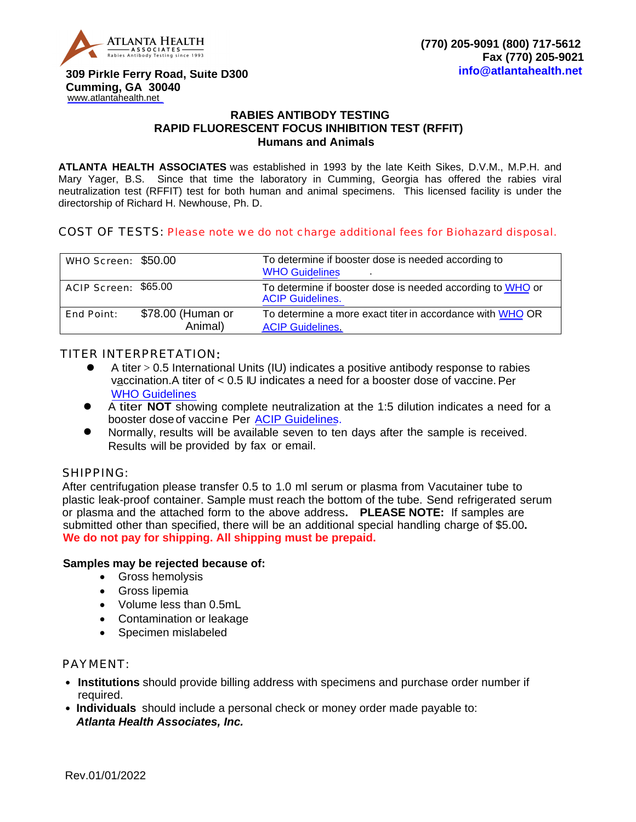

 **Cumming, GA 30040** [www.atlantahealth.net](http://www.atlantahealth.net) **309 Pirkle Ferry Road, Suite D300**

## **RABIES ANTIBODY TESTING [RAPID](http://www.atlantahealth.net) FLUORESCENT FOCUS INHIBITION TEST (RFFIT) Humans and Animals**

**ATLANTA HEALTH ASSOCIATES** was established in 1993 by the late Keith Sikes, D.V.M., M.P.H. and Mary Yager, B.S. Since that time the laboratory in Cumming, Georgia has offered the rabies viral neutralization test (RFFIT) test for both human and animal specimens. This licensed facility is under the directorship of Richard H. Newhouse, Ph. D.

## COST OF TESTS: Please note we do not charge additional fees for Biohazard disposal.

| WHO Screen: \$50.00  |                              | To determine if booster dose is needed according to<br><b>WHO Guidelines</b>          |
|----------------------|------------------------------|---------------------------------------------------------------------------------------|
| ACIP Screen: \$65.00 |                              | To determine if booster dose is needed according to WHO or<br><b>ACIP Guidelines.</b> |
| <b>End Point:</b>    | \$78.00 (Human or<br>Animal) | To determine a more exact titer in accordance with WHO OR<br><b>ACIP Guidelines.</b>  |

## TITER INTERPRETATION:

- A titer > 0.5 International Units (IU) indicates a positive antibody response to rabies vaccination.A titer of < 0.5 IU indicates a need for a boost[er dose of vaccine](http://www.who.int/rabies/en/WHO_guide_rabies_pre_post_exp_treat_humans.pdf).Per WHO Guidelines
- A titer **NOT** showing complete neutralization at the 1:5 dilution indicates a need for a booster dose [of vaccine](http://www.cdc.gov/mmwr/preview/mmwrhtml/rr5703a1.htm) Per ACIP Guidelines.
- Normally, results will be available seven to ten days after the sample is received. Results will be provided by fax or email.

#### SHIPPING:

 plastic leak-proof container. Sample must reach the bottom of the tube. Send refrigerated serum  **We do not pay for shipping. All shipping must be prepaid.** After centrifugation please transfer 0.5 to 1.0 ml serum or plasma from Vacutainer tube to or plasma and the attached form to the above address**. PLEASE NOTE:** If samples are submitted other than specified, there will be an additional special handling charge of \$5.00**.** 

## **Samples may be rejected because of:**

- Gross hemolysis
- Gross lipemia
- Volume less than 0.5mL
- Contamination or leakage
- Specimen mislabeled

#### PAYMENT:

- **Institutions** should provide billing address with specimens and purchase order number if required.
- **Individuals** should include a personal check or money order made payable to: *Atlanta Health Associates, Inc.*